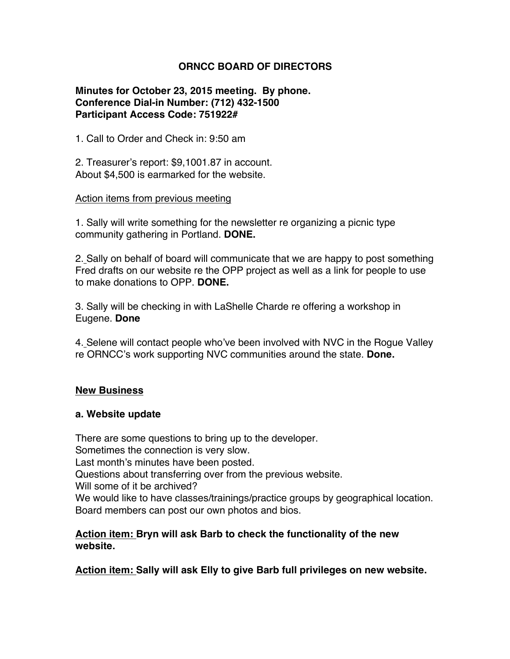# **ORNCC BOARD OF DIRECTORS**

## **Minutes for October 23, 2015 meeting. By phone. Conference Dial-in Number: (712) 432-1500 Participant Access Code: 751922#**

1. Call to Order and Check in: 9:50 am

2. Treasurer's report: \$9,1001.87 in account. About \$4,500 is earmarked for the website.

#### Action items from previous meeting

1. Sally will write something for the newsletter re organizing a picnic type community gathering in Portland. **DONE.**

2. Sally on behalf of board will communicate that we are happy to post something Fred drafts on our website re the OPP project as well as a link for people to use to make donations to OPP. **DONE.**

3. Sally will be checking in with LaShelle Charde re offering a workshop in Eugene. **Done**

4. Selene will contact people who've been involved with NVC in the Rogue Valley re ORNCC's work supporting NVC communities around the state. **Done.**

## **New Business**

#### **a. Website update**

There are some questions to bring up to the developer. Sometimes the connection is very slow. Last month's minutes have been posted. Questions about transferring over from the previous website. Will some of it be archived? We would like to have classes/trainings/practice groups by geographical location. Board members can post our own photos and bios.

## **Action item: Bryn will ask Barb to check the functionality of the new website.**

**Action item: Sally will ask Elly to give Barb full privileges on new website.**